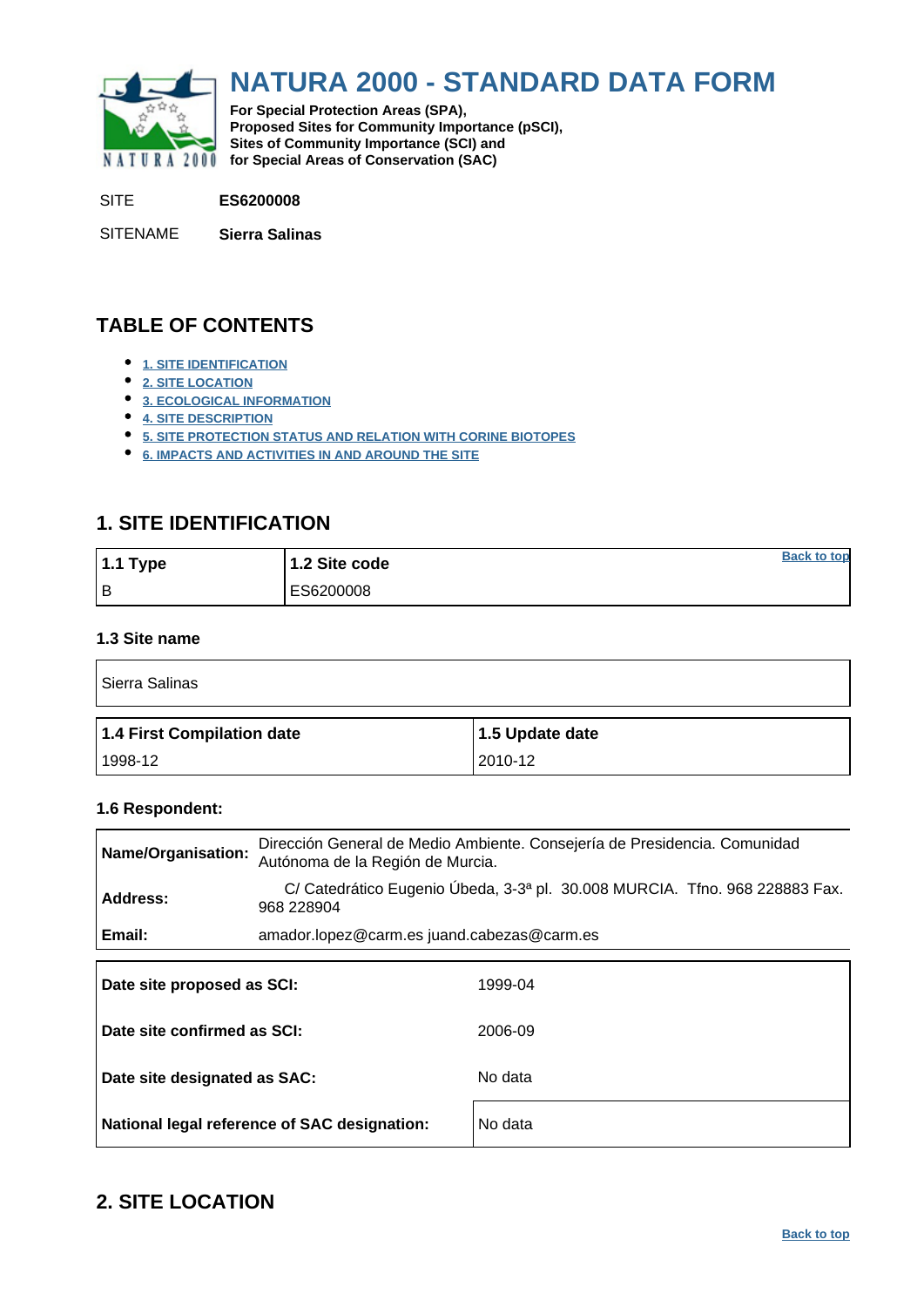<span id="page-0-0"></span>

# **NATURA 2000 - STANDARD DATA FORM**

**For Special Protection Areas (SPA), Proposed Sites for Community Importance (pSCI), Sites of Community Importance (SCI) and NATURA 2000** for Special Areas of Conservation (SAC)

SITE **ES6200008**

SITENAME **Sierra Salinas**

### **TABLE OF CONTENTS**

- **[1. SITE IDENTIFICATION](#page-0-1)**
- **[2. SITE LOCATION](#page-0-2)**
- **[3. ECOLOGICAL INFORMATION](#page-1-0)**
- **[4. SITE DESCRIPTION](#page-7-0)**
- **[5. SITE PROTECTION STATUS AND RELATION WITH CORINE BIOTOPES](#page-9-0)**
- **[6. IMPACTS AND ACTIVITIES IN AND AROUND THE SITE](#page-10-0)**

### <span id="page-0-1"></span>**1. SITE IDENTIFICATION**

| 1.1 Type | 1.2 Site code | <b>Back to top</b> |
|----------|---------------|--------------------|
| l B      | ES6200008     |                    |

#### **1.3 Site name**

| Sierra Salinas             |                 |  |  |  |  |  |  |  |
|----------------------------|-----------------|--|--|--|--|--|--|--|
| 1.4 First Compilation date | 1.5 Update date |  |  |  |  |  |  |  |
| 1998-12                    | 2010-12         |  |  |  |  |  |  |  |

#### **1.6 Respondent:**

| Name/Organisation:          | Dirección General de Medio Ambiente. Consejería de Presidencia. Comunidad<br>Autónoma de la Región de Murcia. |  |  |  |  |  |  |  |  |  |
|-----------------------------|---------------------------------------------------------------------------------------------------------------|--|--|--|--|--|--|--|--|--|
| Address:                    | C/ Catedrático Eugenio Úbeda, 3-3ª pl. 30.008 MURCIA. Tfno. 968 228883 Fax.<br>968 228904                     |  |  |  |  |  |  |  |  |  |
| Email:                      | amador.lopez@carm.es juand.cabezas@carm.es                                                                    |  |  |  |  |  |  |  |  |  |
| Date site proposed as SCI:  | 1999-04                                                                                                       |  |  |  |  |  |  |  |  |  |
| Date site confirmed as SCI: | 2006-09                                                                                                       |  |  |  |  |  |  |  |  |  |

| Date site designated as SAC:                 | No data |
|----------------------------------------------|---------|
| National legal reference of SAC designation: | No data |

### <span id="page-0-2"></span>**2. SITE LOCATION**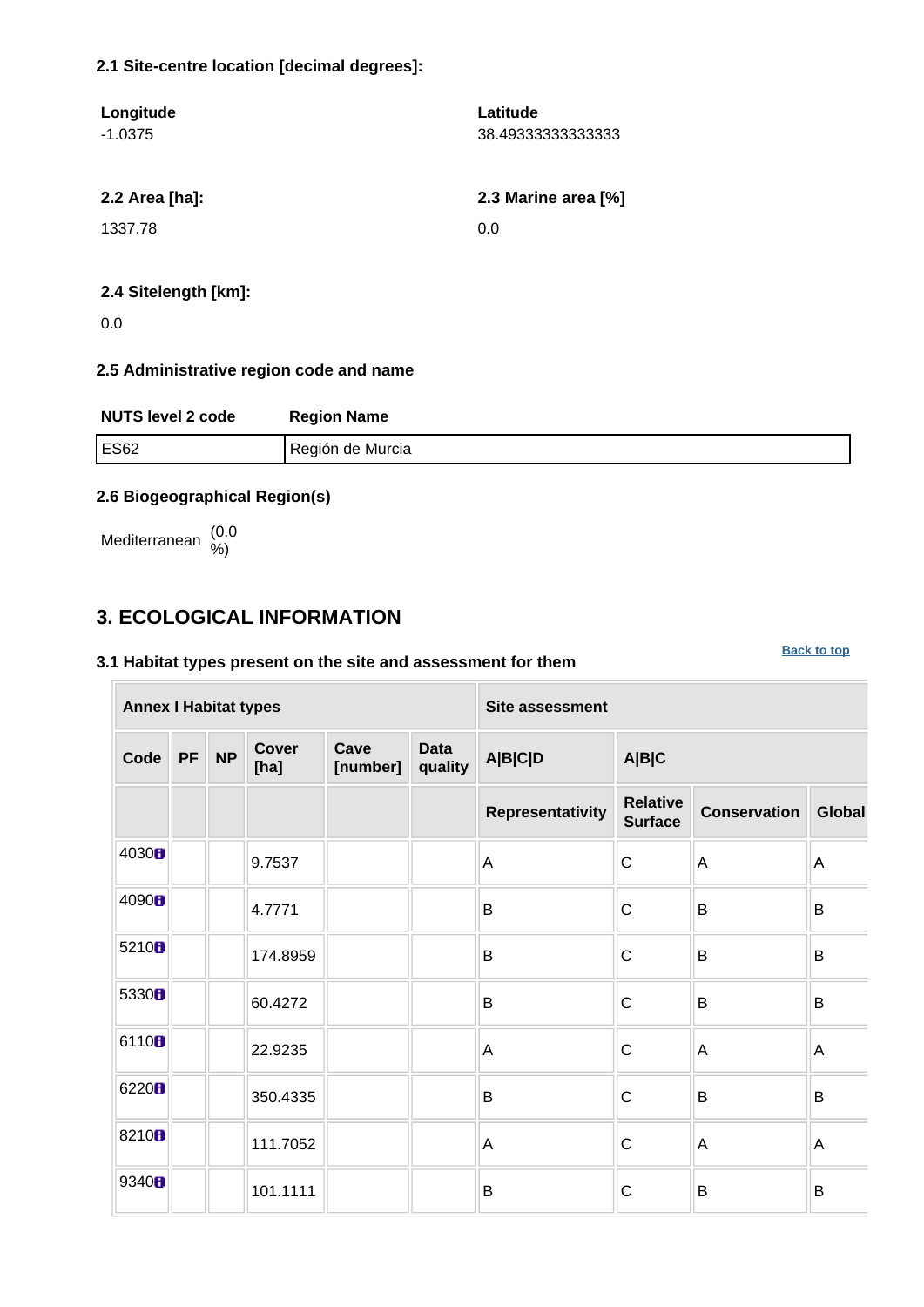#### **2.1 Site-centre location [decimal degrees]:**

| Longitude<br>$-1.0375$ | Latitude<br>38.493333333333333 |
|------------------------|--------------------------------|
| 2.2 Area [ha]:         | 2.3 Marine area [%]            |
| 1337.78                | 0.0                            |
|                        |                                |

#### **2.4 Sitelength [km]:**

0.0

#### **2.5 Administrative region code and name**

| <b>NUTS level 2 code</b> | <b>Region Name</b> |
|--------------------------|--------------------|
| <b>ES62</b>              | Región de Murcia   |

**[Back to top](#page-0-0)**

#### **2.6 Biogeographical Region(s)**

Mediterranean (0.0 %)

### <span id="page-1-0"></span>**3. ECOLOGICAL INFORMATION**

#### **3.1 Habitat types present on the site and assessment for them**

**Annex I Habitat types Site assessment Code PF NP Cover [ha] Cave [number] Data quality A|B|C|D A|B|C Representativity Relative Surface Conservation Global** 4030  $\parallel$  9.7537  $\parallel$  A C A A 4090  $\parallel$   $\parallel$  4.7771  $\parallel$  B  $\parallel$  B  $\parallel$  B  $\parallel$  B  $\parallel$  B 5210  $\blacksquare$  174.8959 B B C B B 5330 **b**  $\begin{array}{|c|c|c|c|c|c|}\n\hline\n\end{array}$  60.4272  $\begin{array}{|c|c|c|c|c|}\n\hline\n\end{array}$  B  $\begin{array}{|c|c|c|c|}\n\hline\n\end{array}$  B  $\begin{array}{|c|c|c|c|}\n\hline\n\end{array}$  B 6110  $\begin{array}{|c|c|c|c|c|}\n\hline\n & 22.9235 & A & C & A & A\n\end{array}$ 6220<mark>8</mark>  $\parallel$  350.4335 B B B C B B 8210  $\parallel$  111.7052  $\parallel$  A  $\parallel$  A  $\parallel$  A  $\parallel$  A <sup>9340</sup> 101.1111 B C B B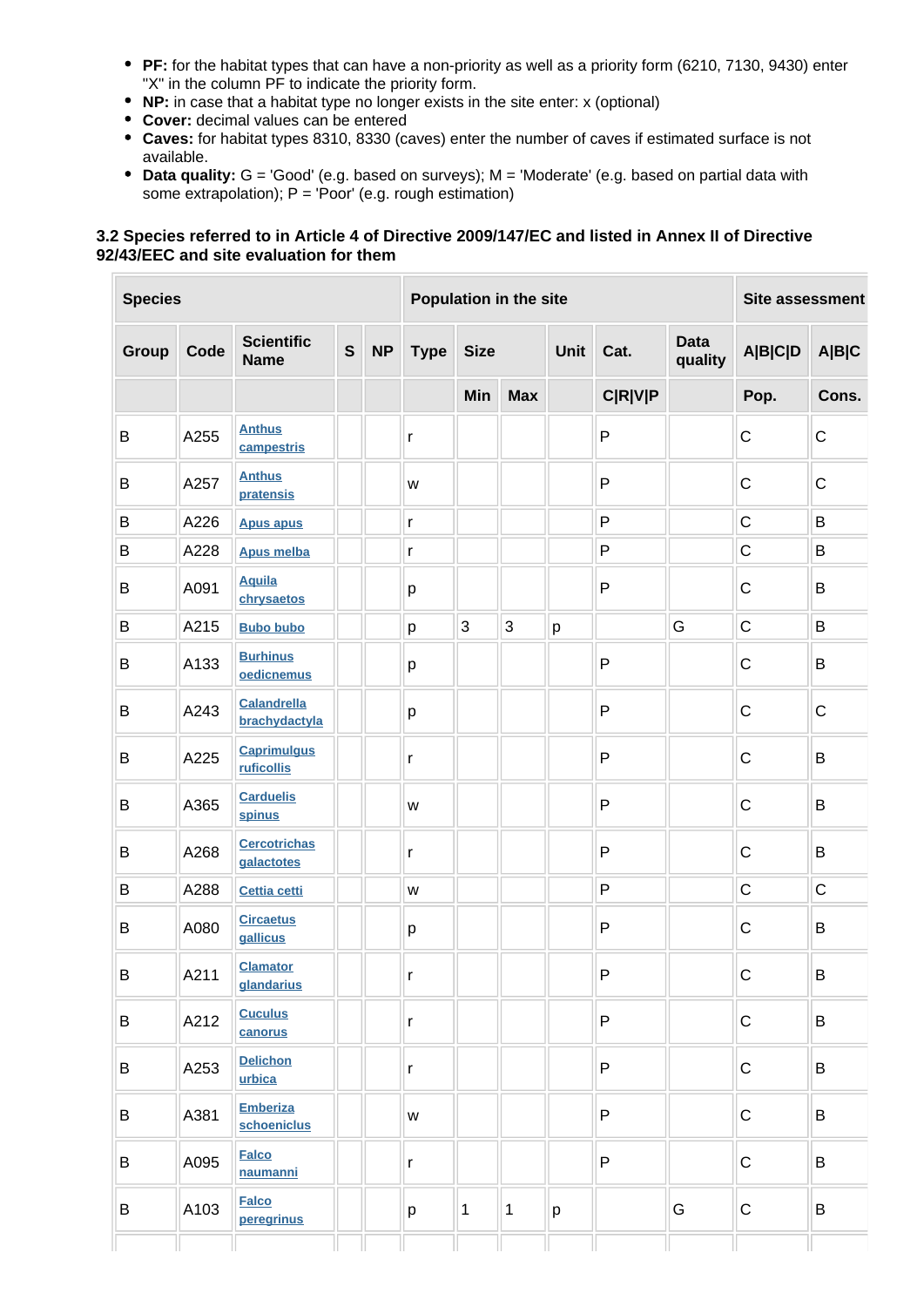- **PF:** for the habitat types that can have a non-priority as well as a priority form (6210, 7130, 9430) enter "X" in the column PF to indicate the priority form.
- **NP:** in case that a habitat type no longer exists in the site enter: x (optional)
- **Cover:** decimal values can be entered
- **Caves:** for habitat types 8310, 8330 (caves) enter the number of caves if estimated surface is not available.
- **Data quality:** G = 'Good' (e.g. based on surveys); M = 'Moderate' (e.g. based on partial data with some extrapolation);  $P = 'Poor'$  (e.g. rough estimation)

#### **3.2 Species referred to in Article 4 of Directive 2009/147/EC and listed in Annex II of Directive 92/43/EEC and site evaluation for them**

| <b>Species</b> |      |                                     | Population in the site |           |              |             |              |   | Site assessment |   |                |                        |                |       |
|----------------|------|-------------------------------------|------------------------|-----------|--------------|-------------|--------------|---|-----------------|---|----------------|------------------------|----------------|-------|
| Group          | Code | <b>Scientific</b><br><b>Name</b>    | $\mathbf S$            | <b>NP</b> | <b>Type</b>  | <b>Size</b> |              |   |                 |   | Cat.           | <b>Data</b><br>quality | <b>A B C D</b> | A B C |
|                |      |                                     |                        |           |              | Min         | <b>Max</b>   |   |                 |   | <b>C R V P</b> |                        | Pop.           | Cons. |
| B              | A255 | <b>Anthus</b><br>campestris         |                        |           | $\mathsf{r}$ |             |              |   | $\mathsf{P}$    |   | $\mathsf C$    | ${\bf C}$              |                |       |
| B              | A257 | <b>Anthus</b><br>pratensis          |                        |           | W            |             |              |   | $\mathsf{P}$    |   | $\mathsf C$    | $\mathsf C$            |                |       |
| B              | A226 | <b>Apus apus</b>                    |                        |           | $\mathsf{r}$ |             |              |   | $\mathsf{P}$    |   | $\mathsf C$    | B                      |                |       |
| B              | A228 | <b>Apus melba</b>                   |                        |           | $\mathsf{r}$ |             |              |   | P               |   | $\mathsf C$    | B                      |                |       |
| B              | A091 | <b>Aquila</b><br>chrysaetos         |                        |           | р            |             |              |   | P               |   | $\mathsf C$    | B                      |                |       |
| B              | A215 | <b>Bubo bubo</b>                    |                        |           | p            | 3           | 3            | p |                 | G | $\mathsf C$    | B                      |                |       |
| B              | A133 | <b>Burhinus</b><br>oedicnemus       |                        |           | р            |             |              |   | P               |   | $\mathsf C$    | B                      |                |       |
| B              | A243 | <b>Calandrella</b><br>brachydactyla |                        |           | р            |             |              |   | $\mathsf{P}$    |   | $\mathsf C$    | $\mathbf C$            |                |       |
| B              | A225 | <b>Caprimulgus</b><br>ruficollis    |                        |           | $\mathsf{r}$ |             |              |   | $\mathsf{P}$    |   | $\mathsf C$    | B                      |                |       |
| B              | A365 | <b>Carduelis</b><br>spinus          |                        |           | W            |             |              |   | P               |   | $\mathsf C$    | B                      |                |       |
| B              | A268 | <b>Cercotrichas</b><br>galactotes   |                        |           | $\mathsf{r}$ |             |              |   | $\mathsf{P}$    |   | C              | B                      |                |       |
| B              | A288 | Cettia cetti                        |                        |           | W            |             |              |   | P               |   | $\mathsf C$    | $\mathsf C$            |                |       |
| B              | A080 | <b>Circaetus</b><br>gallicus        |                        |           | p            |             |              |   | $\mathsf{P}$    |   | $\mathsf C$    | B                      |                |       |
| Β              | A211 | <b>Clamator</b><br>glandarius       |                        |           | r            |             |              |   | $\mathsf{P}$    |   | $\mathsf C$    | B                      |                |       |
| B              | A212 | <b>Cuculus</b><br>canorus           |                        |           | $\mathsf{r}$ |             |              |   | $\mathsf{P}$    |   | $\mathbf C$    | B                      |                |       |
| B              | A253 | <b>Delichon</b><br>urbica           |                        |           | r            |             |              |   | P               |   | $\mathsf C$    | B                      |                |       |
| B              | A381 | <b>Emberiza</b><br>schoeniclus      |                        |           | W            |             |              |   | P               |   | $\mathbf C$    | B                      |                |       |
| B              | A095 | <b>Falco</b><br>naumanni            |                        |           | r            |             |              |   | P               |   | $\mathbf C$    | B                      |                |       |
| B              | A103 | <b>Falco</b><br>peregrinus          |                        |           | p            | $\mathbf 1$ | $\mathbf{1}$ | p |                 | G | $\mathbf C$    | B                      |                |       |
|                |      |                                     |                        |           |              |             |              |   |                 |   |                |                        |                |       |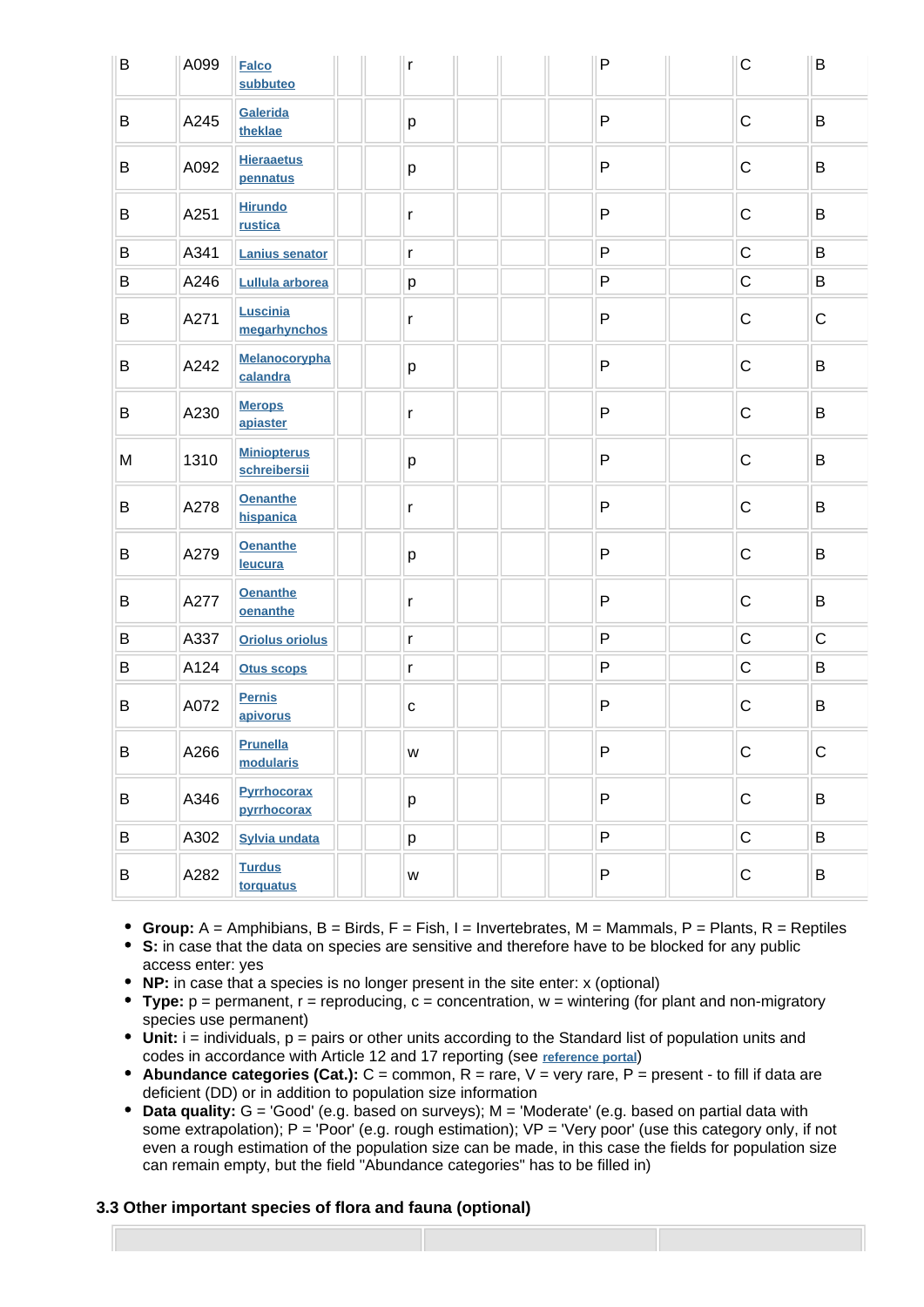| B | A099 | <b>Falco</b><br>subbuteo           | r             | $\mathsf{P}$ | $\mathsf C$ | B           |
|---|------|------------------------------------|---------------|--------------|-------------|-------------|
| B | A245 | Galerida<br>theklae                | р             | $\mathsf{P}$ | $\mathsf C$ | B           |
| B | A092 | <b>Hieraaetus</b><br>pennatus      | p             | $\mathsf{P}$ | $\mathsf C$ | B           |
| B | A251 | <b>Hirundo</b><br>rustica          | r             | P            | $\mathsf C$ | B           |
| B | A341 | <b>Lanius senator</b>              | $\mathsf{r}$  | P            | $\mathsf C$ | B           |
| B | A246 | Lullula arborea                    | р             | P            | $\mathsf C$ | B           |
| B | A271 | Luscinia<br>megarhynchos           | $\mathsf{r}$  | P            | C           | ${\bf C}$   |
| B | A242 | Melanocorypha<br>calandra          | p             | P            | $\mathsf C$ | B           |
| B | A230 | <b>Merops</b><br>apiaster          | r             | P            | $\mathsf C$ | B           |
| M | 1310 | <b>Miniopterus</b><br>schreibersii | р             | $\mathsf{P}$ | $\mathsf C$ | B           |
| B | A278 | <b>Oenanthe</b><br>hispanica       | $\mathsf{r}$  | P            | $\mathsf C$ | B           |
| B | A279 | <b>Oenanthe</b><br>leucura         | р             | P            | $\mathbf C$ | B           |
| B | A277 | <b>Oenanthe</b><br>oenanthe        | $\mathsf{r}$  | P            | $\mathsf C$ | B           |
| B | A337 | <b>Oriolus oriolus</b>             | $\mathsf{r}$  | P            | $\mathsf C$ | $\mathbf C$ |
| B | A124 | <b>Otus scops</b>                  | r             | P            | $\mathsf C$ | B           |
| B | A072 | <b>Pernis</b><br>apivorus          | $\mathbf{C}$  | P            | C           | B           |
| B | A266 | Prunella<br>modularis              | ${\mathsf W}$ | P            | $\mathbf C$ | $\mathsf C$ |
| B | A346 | <b>Pyrrhocorax</b><br>pyrrhocorax  | p             | $\mathsf{P}$ | $\mathsf C$ | B           |
| B | A302 | <b>Sylvia undata</b>               | p             | P            | $\mathsf C$ | B           |
| Β | A282 | <b>Turdus</b><br>torquatus         | W             | P            | $\mathsf C$ | B           |

- **Group:**  $A =$  Amphibians,  $B =$  Birds,  $F =$  Fish,  $I =$  Invertebrates,  $M =$  Mammals,  $P =$  Plants,  $R =$  Reptiles
- **S:** in case that the data on species are sensitive and therefore have to be blocked for any public access enter: yes
- **NP:** in case that a species is no longer present in the site enter: x (optional)
- **Type:** p = permanent, r = reproducing, c = concentration, w = wintering (for plant and non-migratory species use permanent)
- Unit: i = individuals, p = pairs or other units according to the Standard list of population units and codes in accordance with Article 12 and 17 reporting (see **[reference portal](http://bd.eionet.europa.eu/activities/Natura_2000/reference_portal)**)
- **Abundance categories (Cat.):** C = common, R = rare, V = very rare, P = present to fill if data are deficient (DD) or in addition to population size information
- **Data quality:** G = 'Good' (e.g. based on surveys); M = 'Moderate' (e.g. based on partial data with some extrapolation);  $P = 'Poor'$  (e.g. rough estimation);  $VP = 'Very$  poor' (use this category only, if not even a rough estimation of the population size can be made, in this case the fields for population size can remain empty, but the field "Abundance categories" has to be filled in)

#### **3.3 Other important species of flora and fauna (optional)**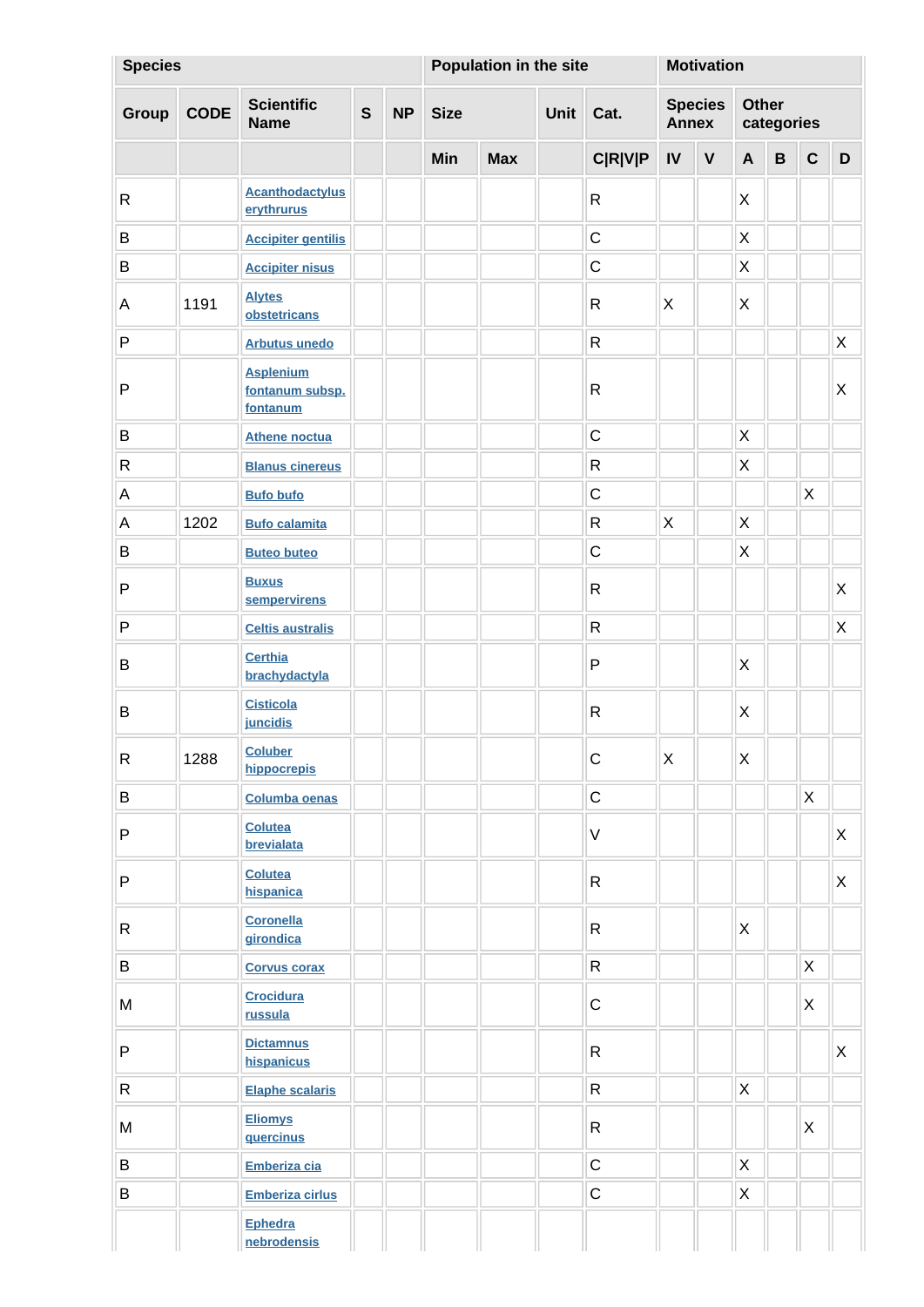| <b>Species</b> |             |                                                 |              |           | Population in the site |            |  |                | <b>Motivation</b>              |             |                     |              |              |              |
|----------------|-------------|-------------------------------------------------|--------------|-----------|------------------------|------------|--|----------------|--------------------------------|-------------|---------------------|--------------|--------------|--------------|
| Group          | <b>CODE</b> | <b>Scientific</b><br><b>Name</b>                | $\mathbf{s}$ | <b>NP</b> | <b>Size</b>            |            |  | Cat.           | <b>Species</b><br><b>Annex</b> |             | Other<br>categories |              |              |              |
|                |             |                                                 |              |           | <b>Min</b>             | <b>Max</b> |  | <b>C R V P</b> | IV                             | $\mathbf V$ | $\mathsf{A}$        | $\, {\bf B}$ | $\mathbf c$  | D            |
| R              |             | <b>Acanthodactylus</b><br>erythrurus            |              |           |                        |            |  | $\mathsf{R}$   |                                |             | X                   |              |              |              |
| $\sf B$        |             | <b>Accipiter gentilis</b>                       |              |           |                        |            |  | $\mathsf{C}$   |                                |             | $\sf X$             |              |              |              |
| $\sf B$        |             | <b>Accipiter nisus</b>                          |              |           |                        |            |  | $\mathsf C$    |                                |             | $\sf X$             |              |              |              |
| $\mathsf A$    | 1191        | <b>Alytes</b><br>obstetricans                   |              |           |                        |            |  | $\mathsf{R}$   | X                              |             | X                   |              |              |              |
| $\mathsf{P}$   |             | <b>Arbutus unedo</b>                            |              |           |                        |            |  | $\mathsf{R}$   |                                |             |                     |              |              | X            |
| P              |             | <b>Asplenium</b><br>fontanum subsp.<br>fontanum |              |           |                        |            |  | $\mathsf{R}$   |                                |             |                     |              |              | X            |
| $\sf B$        |             | <b>Athene noctua</b>                            |              |           |                        |            |  | $\mathsf C$    |                                |             | X                   |              |              |              |
| R              |             | <b>Blanus cinereus</b>                          |              |           |                        |            |  | $\mathsf{R}$   |                                |             | X                   |              |              |              |
| $\mathsf A$    |             | <b>Bufo bufo</b>                                |              |           |                        |            |  | $\mathsf C$    |                                |             |                     |              | X            |              |
| $\mathsf A$    | 1202        | <b>Bufo calamita</b>                            |              |           |                        |            |  | R              | X                              |             | X                   |              |              |              |
| B              |             | <b>Buteo buteo</b>                              |              |           |                        |            |  | $\mathsf C$    |                                |             | X                   |              |              |              |
| P              |             | <b>Buxus</b><br>sempervirens                    |              |           |                        |            |  | $\mathsf{R}$   |                                |             |                     |              |              | $\mathsf{X}$ |
| P              |             | <b>Celtis australis</b>                         |              |           |                        |            |  | $\mathsf{R}$   |                                |             |                     |              |              | $\mathsf{X}$ |
| B              |             | <b>Certhia</b><br>brachydactyla                 |              |           |                        |            |  | P              |                                |             | X                   |              |              |              |
| B              |             | <b>Cisticola</b><br>juncidis                    |              |           |                        |            |  | $\mathsf{R}$   |                                |             | X                   |              |              |              |
| R              | 1288        | <b>Coluber</b><br>hippocrepis                   |              |           |                        |            |  | $\mathsf C$    | $\mathsf{X}$                   |             | X                   |              |              |              |
| B              |             | <b>Columba oenas</b>                            |              |           |                        |            |  | $\mathsf C$    |                                |             |                     |              | $\mathsf{X}$ |              |
| P              |             | <b>Colutea</b><br>brevialata                    |              |           |                        |            |  | $\mathsf V$    |                                |             |                     |              |              | X            |
| P              |             | Colutea<br>hispanica                            |              |           |                        |            |  | $\mathsf{R}$   |                                |             |                     |              |              | X            |
| $\mathsf{R}$   |             | <b>Coronella</b><br>girondica                   |              |           |                        |            |  | $\mathsf{R}$   |                                |             | X                   |              |              |              |
| $\, {\bf B}$   |             | <b>Corvus corax</b>                             |              |           |                        |            |  | $\mathsf{R}$   |                                |             |                     |              | X            |              |
| M              |             | <b>Crocidura</b><br>russula                     |              |           |                        |            |  | $\mathbf C$    |                                |             |                     |              | $\mathsf{X}$ |              |
| $\sf P$        |             | <b>Dictamnus</b><br>hispanicus                  |              |           |                        |            |  | $\mathsf{R}$   |                                |             |                     |              |              | X            |
| $\mathsf{R}$   |             | <b>Elaphe scalaris</b>                          |              |           |                        |            |  | $\mathsf{R}$   |                                |             | X                   |              |              |              |
| M              |             | <b>Eliomys</b><br>quercinus                     |              |           |                        |            |  | R              |                                |             |                     |              | X            |              |
| B              |             | Emberiza cia                                    |              |           |                        |            |  | $\mathsf C$    |                                |             | X                   |              |              |              |
| B              |             | <b>Emberiza cirlus</b>                          |              |           |                        |            |  | $\mathsf C$    |                                |             | X                   |              |              |              |
|                |             | Ephedra<br>nebrodensis                          |              |           |                        |            |  |                |                                |             |                     |              |              |              |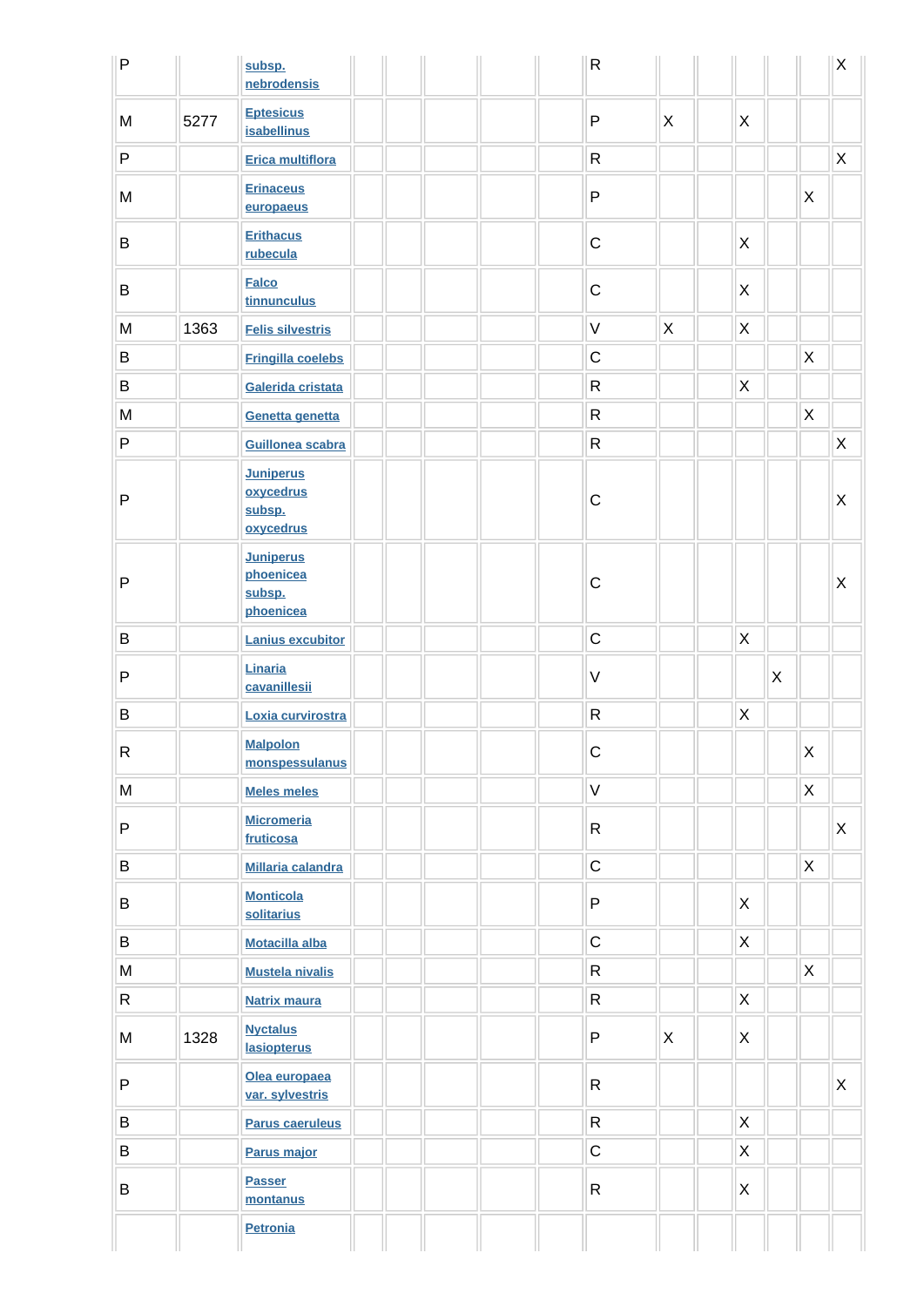| $\sf P$                                                                               |      | subsp.<br>nebrodensis                                |  |  | ${\sf R}$    |              |                           |   |         | X           |
|---------------------------------------------------------------------------------------|------|------------------------------------------------------|--|--|--------------|--------------|---------------------------|---|---------|-------------|
| M                                                                                     | 5277 | <b>Eptesicus</b><br><b>isabellinus</b>               |  |  | $\mathsf{P}$ | X            | X                         |   |         |             |
| P                                                                                     |      | Erica multiflora                                     |  |  | ${\sf R}$    |              |                           |   |         | $\mathsf X$ |
| M                                                                                     |      | <b>Erinaceus</b><br>europaeus                        |  |  | ${\sf P}$    |              |                           |   | X       |             |
| B                                                                                     |      | <b>Erithacus</b><br>rubecula                         |  |  | $\mathsf C$  |              | X                         |   |         |             |
| B                                                                                     |      | <b>Falco</b><br>tinnunculus                          |  |  | $\mathsf C$  |              | X                         |   |         |             |
| M                                                                                     | 1363 | <b>Felis silvestris</b>                              |  |  | $\vee$       | $\sf X$      | $\pmb{\times}$            |   |         |             |
| B                                                                                     |      | <b>Fringilla coelebs</b>                             |  |  | $\mathsf C$  |              |                           |   | $\sf X$ |             |
| B                                                                                     |      | Galerida cristata                                    |  |  | ${\sf R}$    |              | $\mathsf X$               |   |         |             |
| ${\sf M}$                                                                             |      | Genetta genetta                                      |  |  | ${\sf R}$    |              |                           |   | Χ       |             |
| ${\sf P}$                                                                             |      | Guillonea scabra                                     |  |  | $\mathsf{R}$ |              |                           |   |         | $\mathsf X$ |
| P                                                                                     |      | <b>Juniperus</b><br>oxycedrus<br>subsp.<br>oxycedrus |  |  | $\mathsf C$  |              |                           |   |         | $\sf X$     |
| P                                                                                     |      | <b>Juniperus</b><br>phoenicea<br>subsp.<br>phoenicea |  |  | $\mathsf C$  |              |                           |   |         | $\sf X$     |
| $\sf B$                                                                               |      | <b>Lanius excubitor</b>                              |  |  | $\mathsf C$  |              | $\boldsymbol{\mathsf{X}}$ |   |         |             |
| $\mathsf{P}$                                                                          |      | Linaria<br>cavanillesii                              |  |  | $\vee$       |              |                           | X |         |             |
| $\sf B$                                                                               |      | Loxia curvirostra                                    |  |  | ${\sf R}$    |              | $\boldsymbol{\mathsf{X}}$ |   |         |             |
| R                                                                                     |      | <b>Malpolon</b><br>monspessulanus                    |  |  | С            |              |                           |   | X       |             |
| M                                                                                     |      | <b>Meles meles</b>                                   |  |  | $\mathsf V$  |              |                           |   | X       |             |
| ${\sf P}$                                                                             |      | <b>Micromeria</b><br>fruticosa                       |  |  | $\mathsf R$  |              |                           |   |         | X           |
| $\sf B$                                                                               |      | <b>Millaria calandra</b>                             |  |  | $\mathsf C$  |              |                           |   | X       |             |
| B                                                                                     |      | <b>Monticola</b><br>solitarius                       |  |  | P            |              | $\mathsf{X}$              |   |         |             |
| B                                                                                     |      | <b>Motacilla alba</b>                                |  |  | $\mathsf C$  |              | X                         |   |         |             |
| $\mathsf{M}% _{T}=\mathsf{M}_{T}\!\left( a,b\right) ,\ \mathsf{M}_{T}=\mathsf{M}_{T}$ |      | <b>Mustela nivalis</b>                               |  |  | $\mathsf{R}$ |              |                           |   | X       |             |
| R                                                                                     |      | <b>Natrix maura</b>                                  |  |  | ${\sf R}$    |              | $\mathsf X$               |   |         |             |
| ${\sf M}$                                                                             | 1328 | <b>Nyctalus</b><br><b>lasiopterus</b>                |  |  | P            | $\mathsf{X}$ | X                         |   |         |             |
| ${\sf P}$                                                                             |      | Olea europaea<br>var. sylvestris                     |  |  | ${\sf R}$    |              |                           |   |         | X           |
| $\sf B$                                                                               |      | <b>Parus caeruleus</b>                               |  |  | ${\sf R}$    |              | $\pmb{\times}$            |   |         |             |
| B                                                                                     |      | Parus major                                          |  |  | $\mathsf C$  |              | $\mathsf X$               |   |         |             |
| $\sf B$                                                                               |      | <b>Passer</b><br>montanus                            |  |  | $\mathsf{R}$ |              | X                         |   |         |             |
|                                                                                       |      | <b>Petronia</b>                                      |  |  |              |              |                           |   |         |             |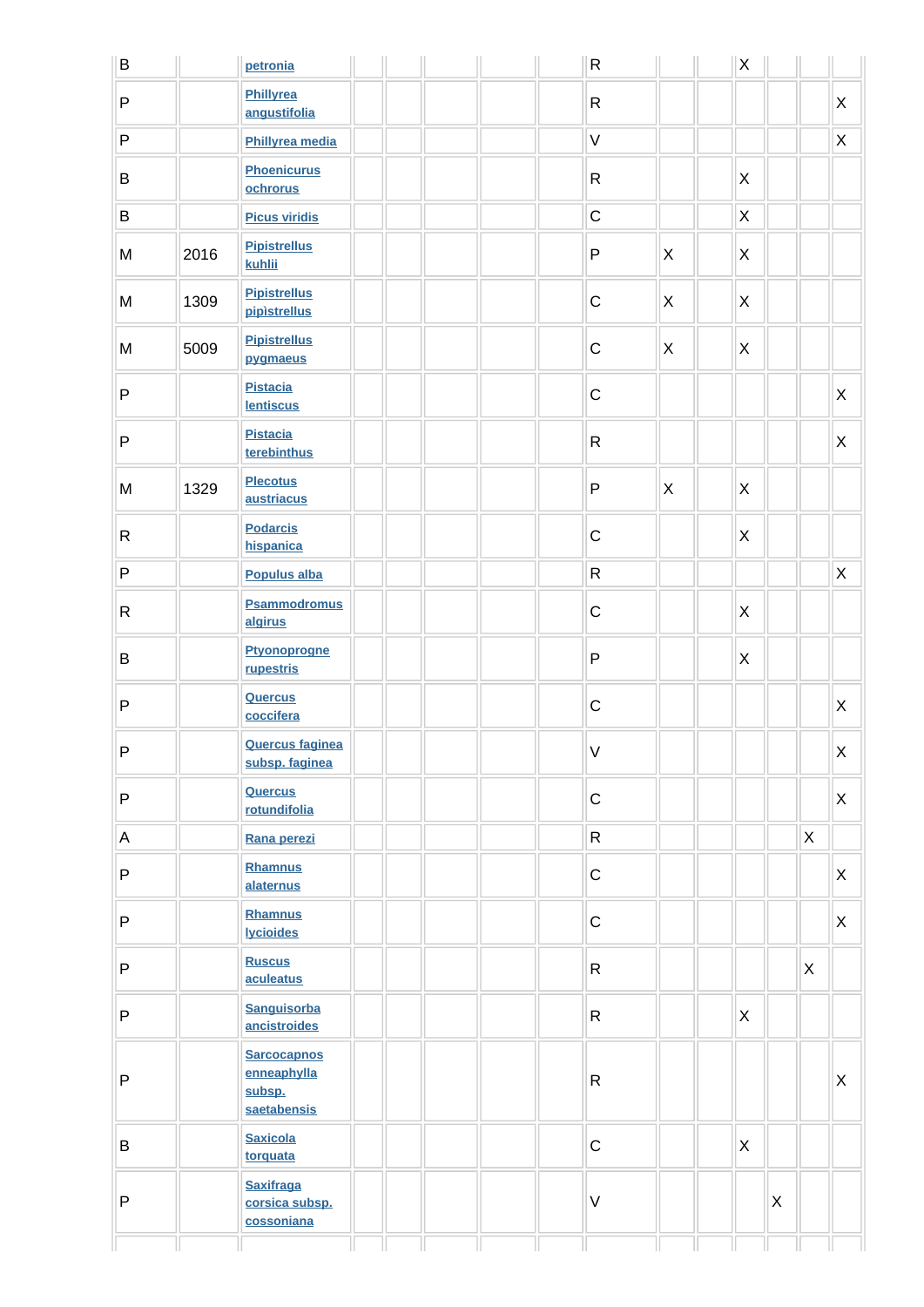| B            |      | petronia                                                   |  |  | ${\sf R}$                                                                                                                                                                                                                                                                                                                                                                                                                                                |                           | $\mathsf X$               |   |   |                         |
|--------------|------|------------------------------------------------------------|--|--|----------------------------------------------------------------------------------------------------------------------------------------------------------------------------------------------------------------------------------------------------------------------------------------------------------------------------------------------------------------------------------------------------------------------------------------------------------|---------------------------|---------------------------|---|---|-------------------------|
| P            |      | Phillyrea<br>angustifolia                                  |  |  | $\mathsf{R}$                                                                                                                                                                                                                                                                                                                                                                                                                                             |                           |                           |   |   | $\mathsf X$             |
| P            |      | Phillyrea media                                            |  |  | $\vee$                                                                                                                                                                                                                                                                                                                                                                                                                                                   |                           |                           |   |   | $\mathsf X$             |
| B            |      | <b>Phoenicurus</b><br>ochrorus                             |  |  | $\mathsf R$                                                                                                                                                                                                                                                                                                                                                                                                                                              |                           | $\boldsymbol{\mathsf{X}}$ |   |   |                         |
| B            |      | <b>Picus viridis</b>                                       |  |  | $\mathsf C$                                                                                                                                                                                                                                                                                                                                                                                                                                              |                           | $\pmb{\times}$            |   |   |                         |
| M            | 2016 | <b>Pipistrellus</b><br>kuhlii                              |  |  | ${\sf P}$                                                                                                                                                                                                                                                                                                                                                                                                                                                | $\mathsf{X}$              | X                         |   |   |                         |
| M            | 1309 | <b>Pipistrellus</b><br>pipistrellus                        |  |  | $\mathsf C$                                                                                                                                                                                                                                                                                                                                                                                                                                              | $\mathsf{X}$              | $\mathsf{X}$              |   |   |                         |
| M            | 5009 | <b>Pipistrellus</b><br>pygmaeus                            |  |  | $\mathsf C$                                                                                                                                                                                                                                                                                                                                                                                                                                              | $\mathsf{X}$              | $\mathsf{X}$              |   |   |                         |
| P            |      | <b>Pistacia</b><br><b>lentiscus</b>                        |  |  | $\mathsf C$                                                                                                                                                                                                                                                                                                                                                                                                                                              |                           |                           |   |   | $\mathsf{X}$            |
| P            |      | <b>Pistacia</b><br>terebinthus                             |  |  | $\mathsf{R}$                                                                                                                                                                                                                                                                                                                                                                                                                                             |                           |                           |   |   | X                       |
| M            | 1329 | <b>Plecotus</b><br>austriacus                              |  |  | ${\sf P}$                                                                                                                                                                                                                                                                                                                                                                                                                                                | $\boldsymbol{\mathsf{X}}$ | $\mathsf{X}$              |   |   |                         |
| $\mathsf{R}$ |      | <b>Podarcis</b><br>hispanica                               |  |  | $\mathsf C$                                                                                                                                                                                                                                                                                                                                                                                                                                              |                           | $\mathsf{X}$              |   |   |                         |
| P            |      | <b>Populus alba</b>                                        |  |  | $\mathsf{R}% _{T}=\mathsf{R}_{T}\!\left( a,b\right) ,\ \mathsf{R}_{T}=\mathsf{R}_{T}\!\left( a,b\right) ,\ \mathsf{R}_{T}=\mathsf{R}_{T}\!\left( a,b\right) ,\ \mathsf{R}_{T}=\mathsf{R}_{T}\!\left( a,b\right) ,\ \mathsf{R}_{T}=\mathsf{R}_{T}\!\left( a,b\right) ,\ \mathsf{R}_{T}=\mathsf{R}_{T}\!\left( a,b\right) ,\ \mathsf{R}_{T}=\mathsf{R}_{T}\!\left( a,b\right) ,\ \mathsf{R}_{T}=\mathsf{R}_{T}\!\left( a,b\right) ,\ \mathsf{R}_{T}=\math$ |                           |                           |   |   | $\mathsf X$             |
| $\mathsf{R}$ |      | <b>Psammodromus</b><br>algirus                             |  |  | $\mathsf C$                                                                                                                                                                                                                                                                                                                                                                                                                                              |                           | $\pmb{\times}$            |   |   |                         |
| B            |      | Ptyonoprogne<br>rupestris                                  |  |  | ${\sf P}$                                                                                                                                                                                                                                                                                                                                                                                                                                                |                           | X                         |   |   |                         |
| P            |      | Quercus<br>coccifera                                       |  |  | $\mathsf C$                                                                                                                                                                                                                                                                                                                                                                                                                                              |                           |                           |   |   | X                       |
| P            |      | <b>Quercus faginea</b><br>subsp. faginea                   |  |  | V.                                                                                                                                                                                                                                                                                                                                                                                                                                                       |                           |                           |   |   | $\mathsf{X}$            |
| P            |      | Quercus<br>rotundifolia                                    |  |  | $\mathsf C$                                                                                                                                                                                                                                                                                                                                                                                                                                              |                           |                           |   |   | $\pmb{\times}$          |
| A            |      | Rana perezi                                                |  |  | $\mathsf{R}$                                                                                                                                                                                                                                                                                                                                                                                                                                             |                           |                           |   | X |                         |
| P            |      | Rhamnus<br>alaternus                                       |  |  | $\mathsf C$                                                                                                                                                                                                                                                                                                                                                                                                                                              |                           |                           |   |   | X                       |
| P            |      | <b>Rhamnus</b><br><b>lycioides</b>                         |  |  | $\mathsf C$                                                                                                                                                                                                                                                                                                                                                                                                                                              |                           |                           |   |   | X                       |
| P            |      | <b>Ruscus</b><br>aculeatus                                 |  |  | $\mathsf{R}$                                                                                                                                                                                                                                                                                                                                                                                                                                             |                           |                           |   | X |                         |
| P            |      | <b>Sanguisorba</b><br>ancistroides                         |  |  | $\mathsf{R}$                                                                                                                                                                                                                                                                                                                                                                                                                                             |                           | $\boldsymbol{\mathsf{X}}$ |   |   |                         |
| P            |      | <b>Sarcocapnos</b><br>enneaphylla<br>subsp.<br>saetabensis |  |  | $\mathsf{R}$                                                                                                                                                                                                                                                                                                                                                                                                                                             |                           |                           |   |   | $\mathsf{\overline{X}}$ |
| B            |      | <b>Saxicola</b><br>torquata                                |  |  | $\mathbf C$                                                                                                                                                                                                                                                                                                                                                                                                                                              |                           | $\mathsf{X}$              |   |   |                         |
| P            |      | <b>Saxifraga</b><br>corsica subsp.<br>cossoniana           |  |  | $\vee$                                                                                                                                                                                                                                                                                                                                                                                                                                                   |                           |                           | X |   |                         |
|              |      |                                                            |  |  |                                                                                                                                                                                                                                                                                                                                                                                                                                                          |                           |                           |   |   |                         |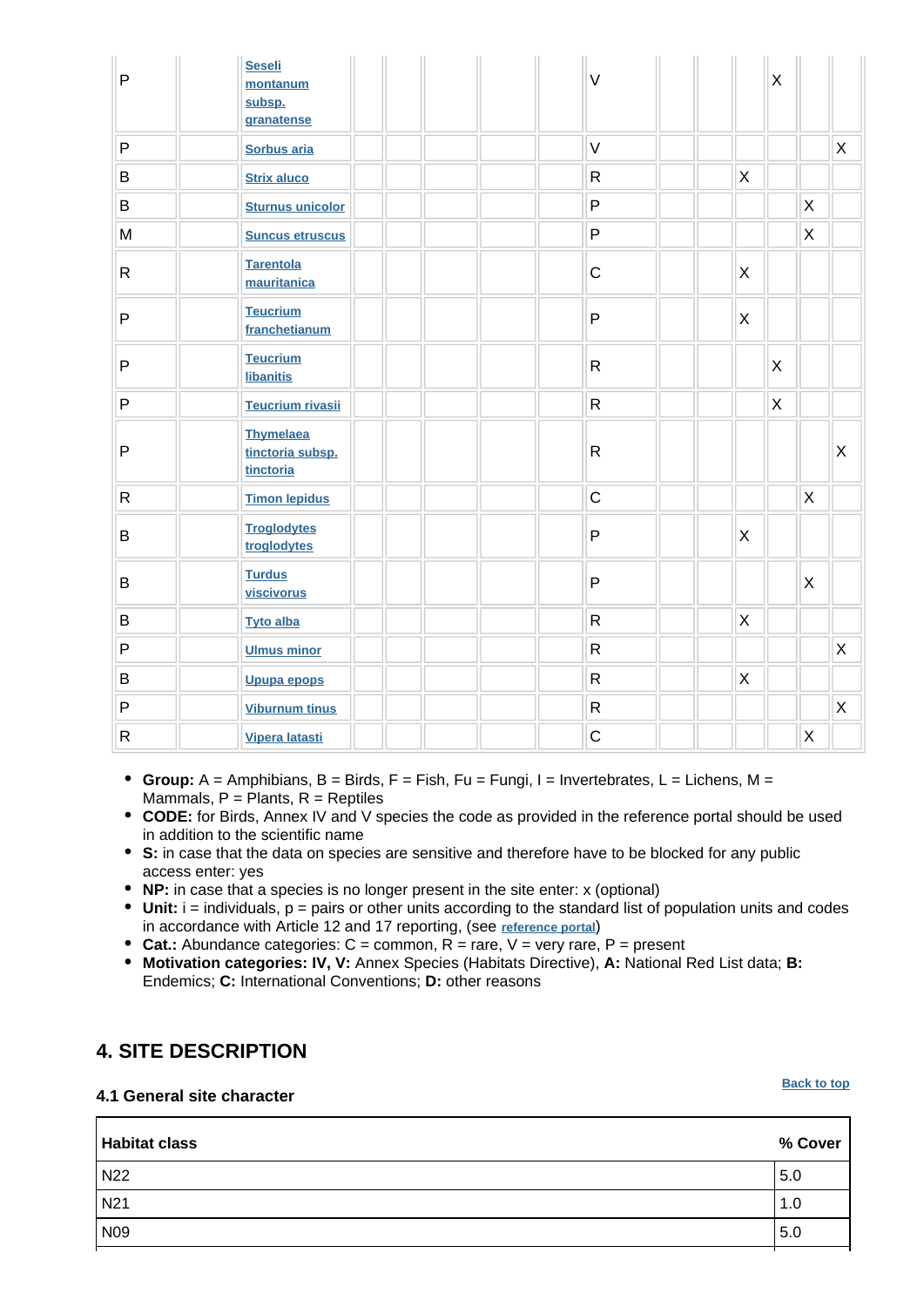| $\mathsf{P}$ | <b>Seseli</b><br>montanum<br>subsp.<br>granatense | $\vee$       | $\sf X$                   |         |                |
|--------------|---------------------------------------------------|--------------|---------------------------|---------|----------------|
| P            | Sorbus aria                                       | $\vee$       |                           |         | $\mathsf X$    |
| B            | <b>Strix aluco</b>                                | $\mathsf{R}$ | $\times$                  |         |                |
| B            | <b>Sturnus unicolor</b>                           | ${\sf P}$    |                           | X       |                |
| M            | <b>Suncus etruscus</b>                            | $\mathsf{P}$ |                           | $\sf X$ |                |
| $\mathsf{R}$ | <b>Tarentola</b><br>mauritanica                   | $\mathsf C$  | $\boldsymbol{\mathsf{X}}$ |         |                |
| $\mathsf{P}$ | <b>Teucrium</b><br>franchetianum                  | ${\sf P}$    | X                         |         |                |
| P            | <b>Teucrium</b><br><b>libanitis</b>               | $\mathsf{R}$ | X                         |         |                |
| P            | <b>Teucrium rivasii</b>                           | ${\sf R}$    | $\mathsf{X}$              |         |                |
| $\mathsf{P}$ | <b>Thymelaea</b><br>tinctoria subsp.<br>tinctoria | ${\sf R}$    |                           |         | X              |
| $\mathsf{R}$ | <b>Timon lepidus</b>                              | $\mathsf C$  |                           | X       |                |
| B            | <b>Troglodytes</b><br>troglodytes                 | ${\sf P}$    | X                         |         |                |
| B            | <b>Turdus</b><br>viscivorus                       | ${\sf P}$    |                           | X       |                |
| B            | <b>Tyto alba</b>                                  | $\mathsf{R}$ | $\pmb{\times}$            |         |                |
| P            | <b>Ulmus minor</b>                                | ${\sf R}$    |                           |         | $\mathsf X$    |
| B            | Upupa epops                                       | ${\sf R}$    | $\mathsf X$               |         |                |
| P            | <b>Viburnum tinus</b>                             | ${\sf R}$    |                           |         | $\pmb{\times}$ |
| $\mathsf{R}$ | Vipera latasti                                    | $\mathsf{C}$ |                           | X       |                |

- **Group:** A = Amphibians, B = Birds, F = Fish, Fu = Fungi, I = Invertebrates, L = Lichens, M = Mammals,  $P =$  Plants,  $R =$  Reptiles
- **CODE:** for Birds, Annex IV and V species the code as provided in the reference portal should be used in addition to the scientific name
- **S:** in case that the data on species are sensitive and therefore have to be blocked for any public access enter: yes
- **NP:** in case that a species is no longer present in the site enter: x (optional)
- **Unit:** i = individuals, p = pairs or other units according to the standard list of population units and codes in accordance with Article 12 and 17 reporting, (see **[reference portal](http://bd.eionet.europa.eu/activities/Natura_2000/reference_portal)**)
- **Cat.:** Abundance categories:  $C =$  common,  $R =$  rare,  $V =$  very rare,  $P =$  present
- **Motivation categories: IV, V:** Annex Species (Habitats Directive), **A:** National Red List data; **B:** Endemics; **C:** International Conventions; **D:** other reasons

### <span id="page-7-0"></span>**4. SITE DESCRIPTION**

#### **4.1 General site character**

#### **[Back to top](#page-0-0)**

| <b>Habitat class</b> | % Cover |
|----------------------|---------|
| N <sub>22</sub>      | 5.0     |
| N <sub>21</sub>      | 1.0     |
| N <sub>09</sub>      | 5.0     |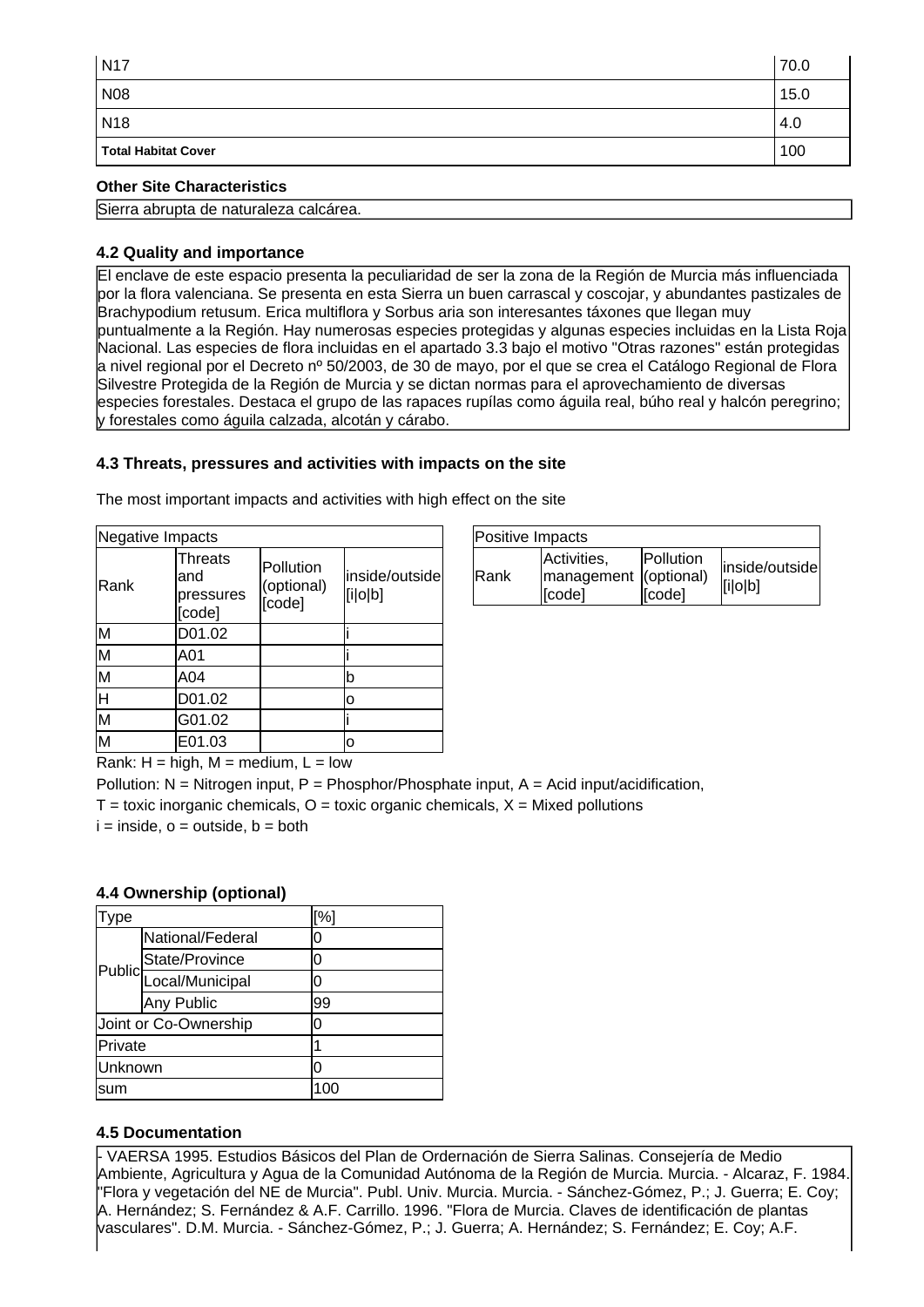| <b>N17</b>                 | 70.0 |
|----------------------------|------|
| <b>N08</b>                 | 15.0 |
| <b>N18</b>                 | 4.0  |
| <b>Total Habitat Cover</b> | 100  |

#### **Other Site Characteristics**

Sierra abrupta de naturaleza calcárea.

#### **4.2 Quality and importance**

El enclave de este espacio presenta la peculiaridad de ser la zona de la Región de Murcia más influenciada por la flora valenciana. Se presenta en esta Sierra un buen carrascal y coscojar, y abundantes pastizales de Brachypodium retusum. Erica multiflora y Sorbus aria son interesantes táxones que llegan muy puntualmente a la Región. Hay numerosas especies protegidas y algunas especies incluidas en la Lista Roja Nacional. Las especies de flora incluidas en el apartado 3.3 bajo el motivo "Otras razones" están protegidas a nivel regional por el Decreto nº 50/2003, de 30 de mayo, por el que se crea el Catálogo Regional de Flora Silvestre Protegida de la Región de Murcia y se dictan normas para el aprovechamiento de diversas especies forestales. Destaca el grupo de las rapaces rupílas como águila real, búho real y halcón peregrino; y forestales como águila calzada, alcotán y cárabo.

#### **4.3 Threats, pressures and activities with impacts on the site**

The most important impacts and activities with high effect on the site

| Negative Impacts        |                                              |                                   |                           |
|-------------------------|----------------------------------------------|-----------------------------------|---------------------------|
| Rank                    | <b>Threats</b><br>and<br>pressures<br>[code] | Pollution<br>(optional)<br>[code] | inside/outside<br>[i o b] |
| M                       | D01.02                                       |                                   |                           |
| M                       | A01                                          |                                   |                           |
| M                       | A04                                          |                                   | b                         |
| Η                       | D01.02                                       |                                   | о                         |
| $\overline{\mathsf{M}}$ | G01.02                                       |                                   |                           |
| M                       | E01.03                                       |                                   | 0                         |

| Positive Impacts |                                                |                            |                           |
|------------------|------------------------------------------------|----------------------------|---------------------------|
| <b>IRank</b>     | Activities,<br>management (optional)<br>[code] | <b>Pollution</b><br>[code] | inside/outside<br>[i o b] |

Rank:  $H = h$ igh,  $M = \text{medium}$ ,  $L = \text{low}$ 

Pollution:  $N =$  Nitrogen input, P = Phosphor/Phosphate input, A = Acid input/acidification,  $T =$  toxic inorganic chemicals,  $O =$  toxic organic chemicals,  $X =$  Mixed pollutions

 $i = inside, o = outside, b = both$ 

#### **4.4 Ownership (optional)**

| ype     |                           | [%] |  |
|---------|---------------------------|-----|--|
|         | National/Federal          | 0   |  |
|         | State/Province            | 0   |  |
|         | Public<br>Local/Municipal | ი   |  |
|         | Any Public                | 99  |  |
|         | Joint or Co-Ownership     | 0   |  |
| Private |                           |     |  |
| Unknown |                           | ი   |  |
| sum     |                           |     |  |

#### **4.5 Documentation**

- VAERSA 1995. Estudios Básicos del Plan de Ordernación de Sierra Salinas. Consejería de Medio Ambiente, Agricultura y Agua de la Comunidad Autónoma de la Región de Murcia. Murcia. - Alcaraz, F. 1984 "Flora y vegetación del NE de Murcia". Publ. Univ. Murcia. Murcia.
- Sánchez-Gómez, P.; J. Guerra; E. Coy; A. Hernández; S. Fernández & A.F. Carrillo. 1996. "Flora de Murcia. Claves de identificación de plantas vasculares". D.M. Murcia.
- Sánchez-Gómez, P.; J. Guerra; A. Hernández; S. Fernández; E. Coy; A.F.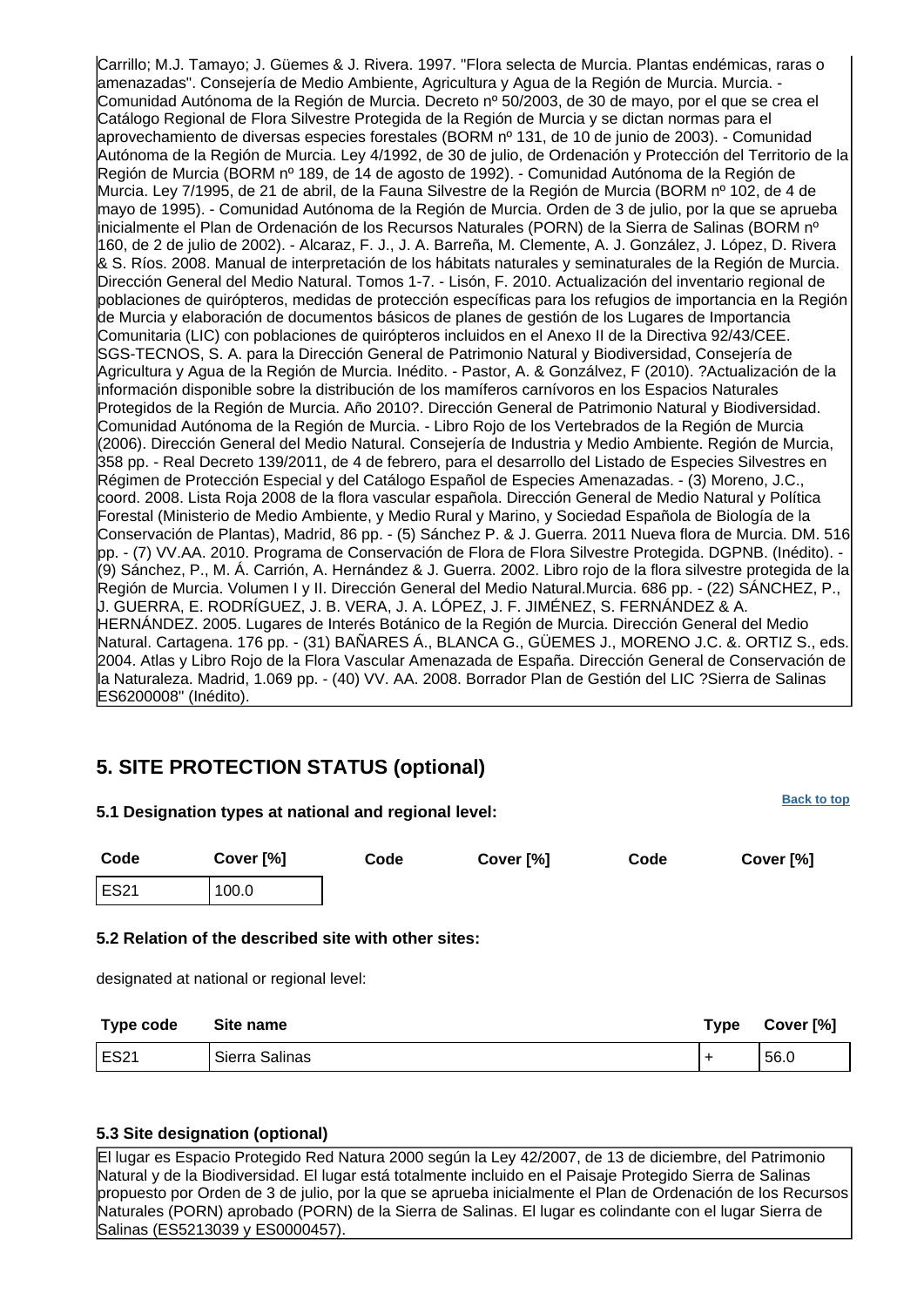Carrillo; M.J. Tamayo; J. Güemes & J. Rivera. 1997. "Flora selecta de Murcia. Plantas endémicas, raras o amenazadas". Consejería de Medio Ambiente, Agricultura y Agua de la Región de Murcia. Murcia.
- Comunidad Autónoma de la Región de Murcia. Decreto nº 50/2003, de 30 de mayo, por el que se crea el Catálogo Regional de Flora Silvestre Protegida de la Región de Murcia y se dictan normas para el aprovechamiento de diversas especies forestales (BORM nº 131, de 10 de junio de 2003).
- Comunidad Autónoma de la Región de Murcia. Ley 4/1992, de 30 de julio, de Ordenación y Protección del Territorio de la Región de Murcia (BORM nº 189, de 14 de agosto de 1992). - Comunidad Autónoma de la Región de Murcia. Ley 7/1995, de 21 de abril, de la Fauna Silvestre de la Región de Murcia (BORM nº 102, de 4 de mayo de 1995).
- Comunidad Autónoma de la Región de Murcia. Orden de 3 de julio, por la que se aprueba inicialmente el Plan de Ordenación de los Recursos Naturales (PORN) de la Sierra de Salinas (BORM nº 160, de 2 de julio de 2002). - Alcaraz, F. J., J. A. Barreña, M. Clemente, A. J. González, J. López, D. Rivera & S. Ríos. 2008. Manual de interpretación de los hábitats naturales y seminaturales de la Región de Murcia. Dirección General del Medio Natural. Tomos 1-7.
- Lisón, F. 2010. Actualización del inventario regional de poblaciones de quirópteros, medidas de protección específicas para los refugios de importancia en la Región de Murcia y elaboración de documentos básicos de planes de gestión de los Lugares de Importancia Comunitaria (LIC) con poblaciones de quirópteros incluidos en el Anexo II de la Directiva 92/43/CEE. SGS-TECNOS, S. A. para la Dirección General de Patrimonio Natural y Biodiversidad, Consejería de Agricultura y Agua de la Región de Murcia. Inédito. - Pastor, A. & Gonzálvez, F (2010). ?Actualización de la información disponible sobre la distribución de los mamíferos carnívoros en los Espacios Naturales Protegidos de la Región de Murcia. Año 2010?. Dirección General de Patrimonio Natural y Biodiversidad. Comunidad Autónoma de la Región de Murcia.
- Libro Rojo de los Vertebrados de la Región de Murcia (2006). Dirección General del Medio Natural. Consejería de Industria y Medio Ambiente. Región de Murcia, 358 pp.
- Real Decreto 139/2011, de 4 de febrero, para el desarrollo del Listado de Especies Silvestres en Régimen de Protección Especial y del Catálogo Español de Especies Amenazadas.
- (3) Moreno, J.C., coord. 2008. Lista Roja 2008 de la flora vascular española. Dirección General de Medio Natural y Política Forestal (Ministerio de Medio Ambiente, y Medio Rural y Marino, y Sociedad Española de Biología de la Conservación de Plantas), Madrid, 86 pp.
- (5) Sánchez P. & J. Guerra. 2011 Nueva flora de Murcia. DM. 516 pp.
- (7) VV.AA. 2010. Programa de Conservación de Flora de Flora Silvestre Protegida. DGPNB. (Inédito).
- (9) Sánchez, P., M. Á. Carrión, A. Hernández & J. Guerra. 2002. Libro rojo de la flora silvestre protegida de la Región de Murcia. Volumen I y II. Dirección General del Medio Natural.Murcia. 686 pp.
- (22) SÁNCHEZ, P., J. GUERRA, E. RODRÍGUEZ, J. B. VERA, J. A. LÓPEZ, J. F. JIMÉNEZ, S. FERNÁNDEZ & A. HERNÁNDEZ. 2005. Lugares de Interés Botánico de la Región de Murcia. Dirección General del Medio Natural. Cartagena. 176 pp. - (31) BAÑARES Á., BLANCA G., GÜEMES J., MORENO J.C. &. ORTIZ S., eds. 2004. Atlas y Libro Rojo de la Flora Vascular Amenazada de España. Dirección General de Conservación de la Naturaleza. Madrid, 1.069 pp. - (40) VV. AA. 2008. Borrador Plan de Gestión del LIC ?Sierra de Salinas ES6200008" (Inédito).

## <span id="page-9-0"></span>**5. SITE PROTECTION STATUS (optional)**

| Code<br>Cover [%]<br>Code<br>Cover [%]<br>Code<br>Cover [%]<br><b>ES21</b><br>100.0<br>Type code<br>Site name<br><b>Type</b> | 5.1 Designation types at national and regional level: |  |  | <b>DACK TO TOP</b> |
|------------------------------------------------------------------------------------------------------------------------------|-------------------------------------------------------|--|--|--------------------|
|                                                                                                                              |                                                       |  |  |                    |
| 5.2 Relation of the described site with other sites:<br>designated at national or regional level:                            |                                                       |  |  |                    |
|                                                                                                                              |                                                       |  |  |                    |
|                                                                                                                              |                                                       |  |  |                    |
|                                                                                                                              |                                                       |  |  | Cover [%]          |

ES21 Sierra Salinas + 56.0

**[Back to top](#page-0-0)**

### **5.3 Site designation (optional)**

El lugar es Espacio Protegido Red Natura 2000 según la Ley 42/2007, de 13 de diciembre, del Patrimonio Natural y de la Biodiversidad. El lugar está totalmente incluido en el Paisaje Protegido Sierra de Salinas propuesto por Orden de 3 de julio, por la que se aprueba inicialmente el Plan de Ordenación de los Recursos Naturales (PORN) aprobado (PORN) de la Sierra de Salinas. El lugar es colindante con el lugar Sierra de Salinas (ES5213039 y ES0000457).